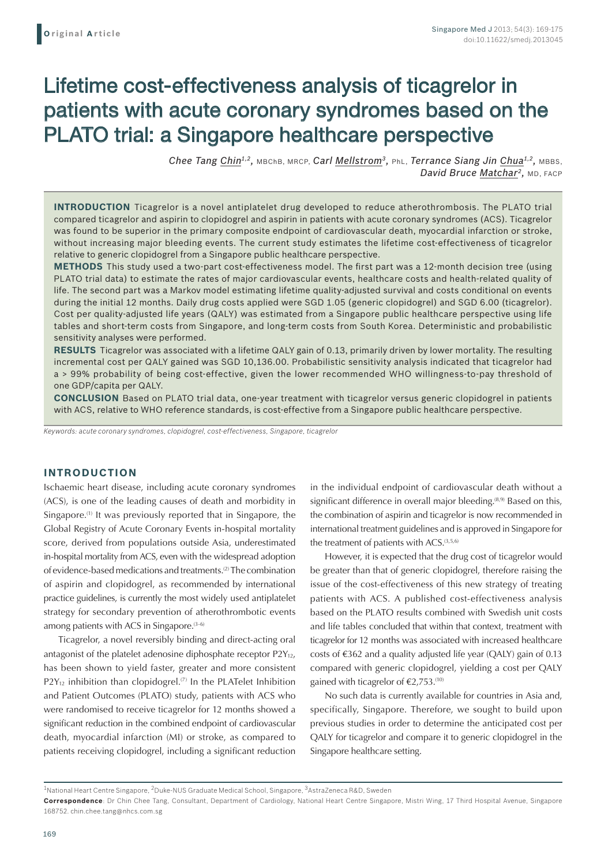# Lifetime cost-effectiveness analysis of ticagrelor in patients with acute coronary syndromes based on the PLATO trial: a Singapore healthcare perspective

*Chee Tang Chin1,2,* MBChB, MRCP, *Carl Mellstrom3,* PhL, *Terrance Siang Jin Chua1,2,* MBBS, *David Bruce Matchar2,* MD, FACP

**INTRODUCTION** Ticagrelor is a novel antiplatelet drug developed to reduce atherothrombosis. The PLATO trial compared ticagrelor and aspirin to clopidogrel and aspirin in patients with acute coronary syndromes (ACS). Ticagrelor was found to be superior in the primary composite endpoint of cardiovascular death, myocardial infarction or stroke, without increasing major bleeding events. The current study estimates the lifetime cost-effectiveness of ticagrelor relative to generic clopidogrel from a Singapore public healthcare perspective.

**METHODS** This study used a two-part cost-effectiveness model. The first part was a 12-month decision tree (using PLATO trial data) to estimate the rates of major cardiovascular events, healthcare costs and health-related quality of life. The second part was a Markov model estimating lifetime quality-adjusted survival and costs conditional on events during the initial 12 months. Daily drug costs applied were SGD 1.05 (generic clopidogrel) and SGD 6.00 (ticagrelor). Cost per quality-adjusted life years (QALY) was estimated from a Singapore public healthcare perspective using life tables and short-term costs from Singapore, and long-term costs from South Korea. Deterministic and probabilistic sensitivity analyses were performed.

**RESULTS** Ticagrelor was associated with a lifetime QALY gain of 0.13, primarily driven by lower mortality. The resulting incremental cost per QALY gained was SGD 10,136.00. Probabilistic sensitivity analysis indicated that ticagrelor had a > 99% probability of being cost-effective, given the lower recommended WHO willingness-to-pay threshold of one GDP/capita per QALY.

**CONCLUSION** Based on PLATO trial data, one-year treatment with ticagrelor versus generic clopidogrel in patients with ACS, relative to WHO reference standards, is cost-effective from a Singapore public healthcare perspective.

*Keywords: acute coronary syndromes, clopidogrel, cost-effectiveness, Singapore, ticagrelor*

## **INTRODUCTION**

Ischaemic heart disease, including acute coronary syndromes (ACS), is one of the leading causes of death and morbidity in Singapore.<sup>(1)</sup> It was previously reported that in Singapore, the Global Registry of Acute Coronary Events in-hospital mortality score, derived from populations outside Asia, underestimated in-hospital mortality from ACS, even with the widespread adoption of evidence-based medications and treatments.(2) The combination of aspirin and clopidogrel, as recommended by international practice guidelines, is currently the most widely used antiplatelet strategy for secondary prevention of atherothrombotic events among patients with ACS in Singapore. $(3-6)$ 

Ticagrelor, a novel reversibly binding and direct-acting oral antagonist of the platelet adenosine diphosphate receptor  $P2Y_{12}$ , has been shown to yield faster, greater and more consistent  $P2Y_{12}$  inhibition than clopidogrel.<sup>(7)</sup> In the PLATelet Inhibition and Patient Outcomes (PLATO) study, patients with ACS who were randomised to receive ticagrelor for 12 months showed a significant reduction in the combined endpoint of cardiovascular death, myocardial infarction (MI) or stroke, as compared to patients receiving clopidogrel, including a significant reduction

in the individual endpoint of cardiovascular death without a significant difference in overall major bleeding.<sup>(8,9)</sup> Based on this, the combination of aspirin and ticagrelor is now recommended in international treatment guidelines and is approved in Singapore for the treatment of patients with ACS.<sup>(3,5,6)</sup>

However, it is expected that the drug cost of ticagrelor would be greater than that of generic clopidogrel, therefore raising the issue of the cost-effectiveness of this new strategy of treating patients with ACS. A published cost-effectiveness analysis based on the PLATO results combined with Swedish unit costs and life tables concluded that within that context, treatment with ticagrelor for 12 months was associated with increased healthcare costs of  $\epsilon$ 362 and a quality adjusted life year (QALY) gain of 0.13 compared with generic clopidogrel, yielding a cost per QALY gained with ticagrelor of  $\epsilon$ 2,753.<sup>(10)</sup>

No such data is currently available for countries in Asia and, specifically, Singapore. Therefore, we sought to build upon previous studies in order to determine the anticipated cost per QALY for ticagrelor and compare it to generic clopidogrel in the Singapore healthcare setting.

<sup>1</sup>National Heart Centre Singapore, 2Duke-NUS Graduate Medical School, Singapore, 3AstraZeneca R&D, Sweden

**Correspondence**: Dr Chin Chee Tang, Consultant, Department of Cardiology, National Heart Centre Singapore, Mistri Wing, 17 Third Hospital Avenue, Singapore 168752. chin.chee.tang@nhcs.com.sg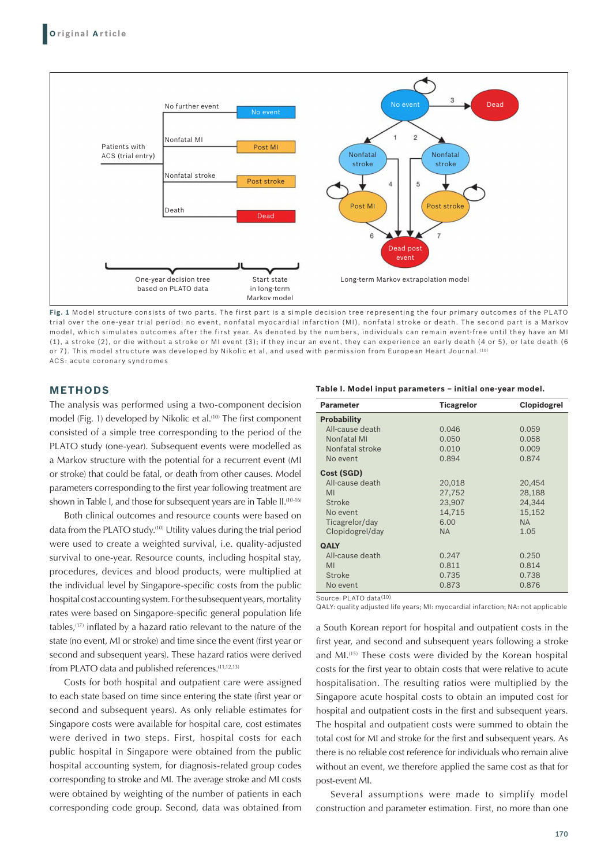

**Fig. 1** Model structure consists of two parts. The first part is a simple decision tree representing the four primary outcomes of the PLATO trial over the one-year trial period: no event, nonfatal myocardial infarction (MI), nonfatal stroke or death. The second part is a Markov model, which simulates outcomes after the first year. As denoted by the numbers, individuals can remain event-free until they have an MI (1), a stroke (2), or die without a stroke or MI event (3); if they incur an event, they can experience an early death (4 or 5), or late death (6 or 7). This model structure was developed by Nikolic et al, and used with permission from European Heart Journal.<sup>(10)</sup> ACS: acute coronary syndromes

# **METHODS**

The analysis was performed using a two-component decision model (Fig. 1) developed by Nikolic et al.<sup>(10)</sup> The first component consisted of a simple tree corresponding to the period of the PLATO study (one-year). Subsequent events were modelled as a Markov structure with the potential for a recurrent event (MI or stroke) that could be fatal, or death from other causes. Model parameters corresponding to the first year following treatment are shown in Table I, and those for subsequent years are in Table II.<sup>(10-16)</sup>

Both clinical outcomes and resource counts were based on data from the PLATO study.(10) Utility values during the trial period were used to create a weighted survival, i.e. quality-adjusted survival to one-year. Resource counts, including hospital stay, procedures, devices and blood products, were multiplied at the individual level by Singapore-specific costs from the public hospital cost accounting system. For the subsequent years, mortality rates were based on Singapore-specific general population life tables,(17) inflated by a hazard ratio relevant to the nature of the state (no event, MI or stroke) and time since the event (first year or second and subsequent years). These hazard ratios were derived from PLATO data and published references.<sup>(11,12,13)</sup>

Costs for both hospital and outpatient care were assigned to each state based on time since entering the state (first year or second and subsequent years). As only reliable estimates for Singapore costs were available for hospital care, cost estimates were derived in two steps. First, hospital costs for each public hospital in Singapore were obtained from the public hospital accounting system, for diagnosis-related group codes corresponding to stroke and MI. The average stroke and MI costs were obtained by weighting of the number of patients in each corresponding code group. Second, data was obtained from

**Table I. Model input parameters – initial one-year model.**

| <b>Parameter</b>   | <b>Ticagrelor</b> | <b>Clopidogrel</b> |
|--------------------|-------------------|--------------------|
| <b>Probability</b> |                   |                    |
| All-cause death    | 0.046             | 0.059              |
| Nonfatal MI        | 0.050             | 0.058              |
| Nonfatal stroke    | 0.010             | 0.009              |
| No event           | 0.894             | 0.874              |
| Cost (SGD)         |                   |                    |
| All-cause death    | 20,018            | 20,454             |
| MI                 | 27,752            | 28,188             |
| Stroke             | 23,907            | 24,344             |
| No event           | 14,715            | 15,152             |
| Ticagrelor/day     | 6.00              | <b>NA</b>          |
| Clopidogrel/day    | <b>NA</b>         | 1.05               |
| <b>QALY</b>        |                   |                    |
| All-cause death    | 0.247             | 0.250              |
| MI                 | 0.811             | 0.814              |
| Stroke             | 0.735             | 0.738              |
| No event           | 0.873             | 0.876              |

Source: PLATO data(10)

QALY: quality adjusted life years; MI: myocardial infarction; NA: not applicable

a South Korean report for hospital and outpatient costs in the first year, and second and subsequent years following a stroke and MI.(15) These costs were divided by the Korean hospital costs for the first year to obtain costs that were relative to acute hospitalisation. The resulting ratios were multiplied by the Singapore acute hospital costs to obtain an imputed cost for hospital and outpatient costs in the first and subsequent years. The hospital and outpatient costs were summed to obtain the total cost for MI and stroke for the first and subsequent years. As there is no reliable cost reference for individuals who remain alive without an event, we therefore applied the same cost as that for post-event MI.

Several assumptions were made to simplify model construction and parameter estimation. First, no more than one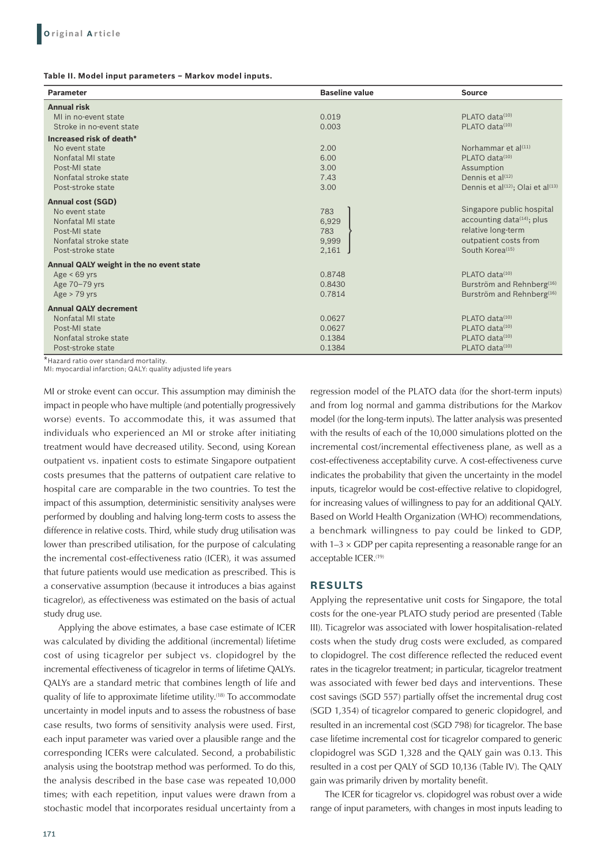**Table II. Model input parameters – Markov model inputs.** 

| <b>Parameter</b>                         | <b>Baseline value</b>                | <b>Source</b>                                             |  |
|------------------------------------------|--------------------------------------|-----------------------------------------------------------|--|
| <b>Annual risk</b>                       |                                      |                                                           |  |
| MI in no-event state                     | 0.019                                | PLATO data <sup>(10)</sup>                                |  |
| Stroke in no-event state                 | 0.003                                | PLATO data <sup>(10)</sup>                                |  |
| Increased risk of death*                 |                                      |                                                           |  |
| No event state                           | 2.00                                 | Norhammar et al <sup>(11)</sup>                           |  |
| Nonfatal MI state                        | 6.00                                 | PLATO data $(10)$                                         |  |
| Post-MI state                            | 3.00                                 | Assumption                                                |  |
| Nonfatal stroke state                    | 7.43                                 | Dennis et al <sup>(12)</sup>                              |  |
| Post-stroke state                        | 3.00                                 | Dennis et al <sup>(12)</sup> ; Olai et al <sup>(13)</sup> |  |
| <b>Annual cost (SGD)</b>                 |                                      |                                                           |  |
| No event state                           | 783                                  | Singapore public hospital                                 |  |
| Nonfatal MI state                        | 6,929                                | accounting data <sup>(14)</sup> ; plus                    |  |
| Post-MI state                            | 783                                  | relative long-term                                        |  |
| Nonfatal stroke state                    | 9,999                                | outpatient costs from                                     |  |
| Post-stroke state                        | 2,161                                | South Korea <sup>(15)</sup>                               |  |
| Annual QALY weight in the no event state |                                      |                                                           |  |
| Age $< 69$ yrs                           | 0.8748                               | PLATO data <sup>(10)</sup>                                |  |
| Age 70-79 yrs                            | 0.8430                               | Burström and Rehnberg <sup>(16)</sup>                     |  |
| Age $>$ 79 yrs                           | 0.7814                               | Burström and Rehnberg <sup>(16)</sup>                     |  |
| <b>Annual QALY decrement</b>             |                                      |                                                           |  |
| Nonfatal MI state                        | 0.0627                               | PLATO data <sup>(10)</sup>                                |  |
| Post-MI state                            | PLATO data <sup>(10)</sup><br>0.0627 |                                                           |  |
| Nonfatal stroke state                    | 0.1384                               | PLATO data <sup>(10)</sup>                                |  |
| Post-stroke state                        | 0.1384                               | PLATO data <sup>(10)</sup>                                |  |

\*Hazard ratio over standard mortality.

MI: myocardial infarction; QALY: quality adjusted life years

MI or stroke event can occur. This assumption may diminish the impact in people who have multiple (and potentially progressively worse) events. To accommodate this, it was assumed that individuals who experienced an MI or stroke after initiating treatment would have decreased utility. Second, using Korean outpatient vs. inpatient costs to estimate Singapore outpatient costs presumes that the patterns of outpatient care relative to hospital care are comparable in the two countries. To test the impact of this assumption, deterministic sensitivity analyses were performed by doubling and halving long-term costs to assess the difference in relative costs. Third, while study drug utilisation was lower than prescribed utilisation, for the purpose of calculating the incremental cost-effectiveness ratio (ICER), it was assumed that future patients would use medication as prescribed. This is a conservative assumption (because it introduces a bias against ticagrelor), as effectiveness was estimated on the basis of actual study drug use.

Applying the above estimates, a base case estimate of ICER was calculated by dividing the additional (incremental) lifetime cost of using ticagrelor per subject vs. clopidogrel by the incremental effectiveness of ticagrelor in terms of lifetime QALYs. QALYs are a standard metric that combines length of life and quality of life to approximate lifetime utility.(18) To accommodate uncertainty in model inputs and to assess the robustness of base case results, two forms of sensitivity analysis were used. First, each input parameter was varied over a plausible range and the corresponding ICERs were calculated. Second, a probabilistic analysis using the bootstrap method was performed. To do this, the analysis described in the base case was repeated 10,000 times; with each repetition, input values were drawn from a stochastic model that incorporates residual uncertainty from a

171

regression model of the PLATO data (for the short-term inputs) and from log normal and gamma distributions for the Markov model (for the long-term inputs). The latter analysis was presented with the results of each of the 10,000 simulations plotted on the incremental cost/incremental effectiveness plane, as well as a cost-effectiveness acceptability curve. A cost-effectiveness curve indicates the probability that given the uncertainty in the model inputs, ticagrelor would be cost-effective relative to clopidogrel, for increasing values of willingness to pay for an additional QALY. Based on World Health Organization (WHO) recommendations, a benchmark willingness to pay could be linked to GDP, with  $1-3 \times$  GDP per capita representing a reasonable range for an acceptable ICER.<sup>(19)</sup>

## **RESULTS**

Applying the representative unit costs for Singapore, the total costs for the one-year PLATO study period are presented (Table III). Ticagrelor was associated with lower hospitalisation-related costs when the study drug costs were excluded, as compared to clopidogrel. The cost difference reflected the reduced event rates in the ticagrelor treatment; in particular, ticagrelor treatment was associated with fewer bed days and interventions. These cost savings (SGD 557) partially offset the incremental drug cost (SGD 1,354) of ticagrelor compared to generic clopidogrel, and resulted in an incremental cost (SGD 798) for ticagrelor. The base case lifetime incremental cost for ticagrelor compared to generic clopidogrel was SGD 1,328 and the QALY gain was 0.13. This resulted in a cost per QALY of SGD 10,136 (Table IV). The QALY gain was primarily driven by mortality benefit.

The ICER for ticagrelor vs. clopidogrel was robust over a wide range of input parameters, with changes in most inputs leading to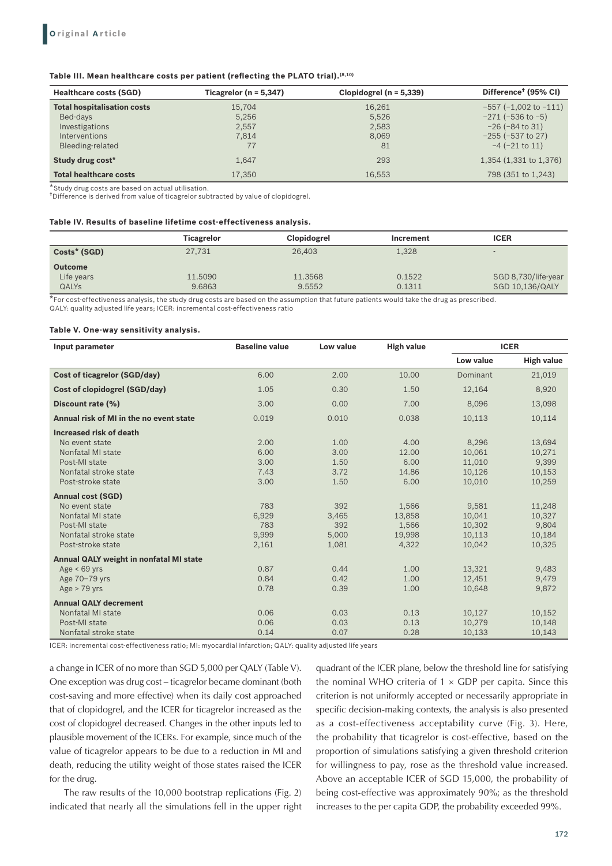## **Table III. Mean healthcare costs per patient (reflecting the PLATO trial).(8,10)**

| <b>Healthcare costs (SGD)</b>           | Ticagrelor ( $n = 5,347$ ) | Clopidogrel ( $n = 5,339$ ) | Difference <sup>†</sup> (95% CI) |  |
|-----------------------------------------|----------------------------|-----------------------------|----------------------------------|--|
| <b>Total hospitalisation costs</b>      | 15,704                     | 16,261                      | $-557$ ( $-1,002$ to $-111$ )    |  |
| Bed-days                                | 5,256                      | 5,526                       | $-271$ ( $-536$ to $-5$ )        |  |
| Investigations                          | 2.557                      | 2.583                       | $-26$ ( $-84$ to 31)             |  |
| <b>Interventions</b>                    | 7.814                      | 8.069                       | $-255$ ( $-537$ to 27)           |  |
| Bleeding-related                        | 77                         | 81                          | $-4$ $(-21$ to 11)               |  |
| Study drug cost*                        | 1.647                      | 293                         | 1,354 (1,331 to 1,376)           |  |
| <b>Total healthcare costs</b><br>17,350 |                            | 16.553                      | 798 (351 to 1,243)               |  |

\*Study drug costs are based on actual utilisation.

†Difference is derived from value of ticagrelor subtracted by value of clopidogrel.

#### **Table IV. Results of baseline lifetime cost-effectiveness analysis.**

|                | <b>Ticagrelor</b> | <b>Clopidogrel</b> | Increment | <b>ICER</b>         |
|----------------|-------------------|--------------------|-----------|---------------------|
| Costs* (SGD)   | 27,731            | 26,403             | 1,328     |                     |
| <b>Outcome</b> |                   |                    |           |                     |
| Life years     | 11.5090           | 11.3568            | 0.1522    | SGD 8,730/life-year |
| <b>QALYS</b>   | 9.6863            | 9.5552             | 0.1311    | SGD 10,136/QALY     |

\*For cost-effectiveness analysis, the study drug costs are based on the assumption that future patients would take the drug as prescribed. QALY: quality adjusted life years; ICER: incremental cost-effectiveness ratio

#### **Table V. One-way sensitivity analysis.**

| Input parameter                                | <b>Baseline value</b> | Low value | <b>High value</b> | <b>ICER</b> |                   |
|------------------------------------------------|-----------------------|-----------|-------------------|-------------|-------------------|
|                                                |                       |           |                   | Low value   | <b>High value</b> |
| <b>Cost of ticagrelor (SGD/day)</b>            | 6.00                  | 2.00      | 10.00             | Dominant    | 21,019            |
| Cost of clopidogrel (SGD/day)                  | 1.05                  | 0.30      | 1.50              | 12,164      | 8,920             |
| Discount rate (%)                              | 3.00                  | 0.00      | 7.00              | 8,096       | 13,098            |
| Annual risk of MI in the no event state        | 0.019                 | 0.010     | 0.038             | 10,113      | 10,114            |
| Increased risk of death                        |                       |           |                   |             |                   |
| No event state                                 | 2.00                  | 1.00      | 4.00              | 8,296       | 13,694            |
| Nonfatal MI state                              | 6.00                  | 3.00      | 12.00             | 10,061      | 10,271            |
| Post-MI state                                  | 3.00                  | 1.50      | 6.00              | 11,010      | 9,399             |
| Nonfatal stroke state                          | 7.43                  | 3.72      | 14.86             | 10,126      | 10,153            |
| Post-stroke state                              | 3.00                  | 1.50      | 6.00              | 10.010      | 10,259            |
| <b>Annual cost (SGD)</b>                       |                       |           |                   |             |                   |
| No event state                                 | 783                   | 392       | 1,566             | 9,581       | 11,248            |
| Nonfatal MI state                              | 6,929                 | 3.465     | 13.858            | 10.041      | 10.327            |
| Post-MI state                                  | 783                   | 392       | 1.566             | 10,302      | 9,804             |
| Nonfatal stroke state                          | 9.999                 | 5,000     | 19,998            | 10,113      | 10,184            |
| Post-stroke state                              | 2,161                 | 1,081     | 4,322             | 10,042      | 10,325            |
| <b>Annual QALY weight in nonfatal MI state</b> |                       |           |                   |             |                   |
| Age $< 69$ yrs                                 | 0.87                  | 0.44      | 1.00              | 13,321      | 9,483             |
| Age 70-79 yrs                                  | 0.84                  | 0.42      | 1.00              | 12,451      | 9,479             |
| $Age > 79$ vrs                                 | 0.78                  | 0.39      | 1.00              | 10.648      | 9,872             |
| <b>Annual QALY decrement</b>                   |                       |           |                   |             |                   |
| Nonfatal MI state                              | 0.06                  | 0.03      | 0.13              | 10,127      | 10,152            |
| Post-MI state                                  | 0.06                  | 0.03      | 0.13              | 10.279      | 10,148            |
| Nonfatal stroke state                          | 0.14                  | 0.07      | 0.28              | 10,133      | 10,143            |

ICER: incremental cost-effectiveness ratio; MI: myocardial infarction; QALY: quality adjusted life years

a change in ICER of no more than SGD 5,000 per QALY (Table V). One exception was drug cost – ticagrelor became dominant (both cost-saving and more effective) when its daily cost approached that of clopidogrel, and the ICER for ticagrelor increased as the cost of clopidogrel decreased. Changes in the other inputs led to plausible movement of the ICERs. For example, since much of the value of ticagrelor appears to be due to a reduction in MI and death, reducing the utility weight of those states raised the ICER for the drug.

The raw results of the 10,000 bootstrap replications (Fig. 2) indicated that nearly all the simulations fell in the upper right quadrant of the ICER plane, below the threshold line for satisfying the nominal WHO criteria of  $1 \times$  GDP per capita. Since this criterion is not uniformly accepted or necessarily appropriate in specific decision-making contexts, the analysis is also presented as a cost-effectiveness acceptability curve (Fig. 3). Here, the probability that ticagrelor is cost-effective, based on the proportion of simulations satisfying a given threshold criterion for willingness to pay, rose as the threshold value increased. Above an acceptable ICER of SGD 15,000, the probability of being cost-effective was approximately 90%; as the threshold increases to the per capita GDP, the probability exceeded 99%.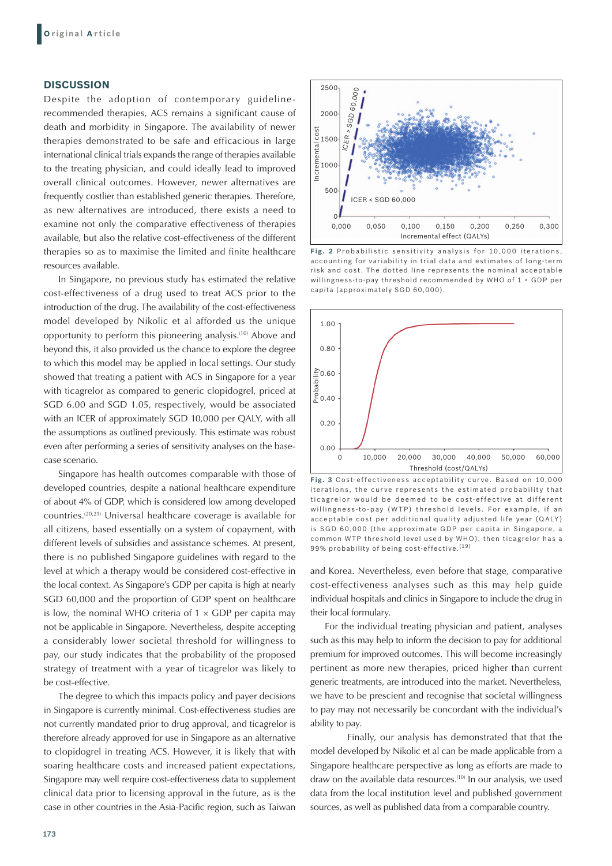## **DISCUSSION**

Despite the adoption of contemporary guidelinerecommended therapies, ACS remains a significant cause of death and morbidity in Singapore. The availability of newer therapies demonstrated to be safe and efficacious in large international clinical trials expands the range of therapies available to the treating physician, and could ideally lead to improved overall clinical outcomes. However, newer alternatives are frequently costlier than established generic therapies. Therefore, as new alternatives are introduced, there exists a need to examine not only the comparative effectiveness of therapies available, but also the relative cost-effectiveness of the different therapies so as to maximise the limited and finite healthcare resources available.

In Singapore, no previous study has estimated the relative cost-effectiveness of a drug used to treat ACS prior to the introduction of the drug. The availability of the cost-effectiveness model developed by Nikolic et al afforded us the unique opportunity to perform this pioneering analysis.(10) Above and beyond this, it also provided us the chance to explore the degree to which this model may be applied in local settings. Our study showed that treating a patient with ACS in Singapore for a year with ticagrelor as compared to generic clopidogrel, priced at SGD 6.00 and SGD 1.05, respectively, would be associated with an ICER of approximately SGD 10,000 per QALY, with all the assumptions as outlined previously. This estimate was robust even after performing a series of sensitivity analyses on the basecase scenario.

Singapore has health outcomes comparable with those of developed countries, despite a national healthcare expenditure of about 4% of GDP, which is considered low among developed countries.(20,21) Universal healthcare coverage is available for all citizens, based essentially on a system of copayment, with different levels of subsidies and assistance schemes. At present, there is no published Singapore guidelines with regard to the level at which a therapy would be considered cost-effective in the local context. As Singapore's GDP per capita is high at nearly SGD 60,000 and the proportion of GDP spent on healthcare is low, the nominal WHO criteria of  $1 \times GDP$  per capita may not be applicable in Singapore. Nevertheless, despite accepting a considerably lower societal threshold for willingness to pay, our study indicates that the probability of the proposed strategy of treatment with a year of ticagrelor was likely to be cost-effective.

The degree to which this impacts policy and payer decisions in Singapore is currently minimal. Cost-effectiveness studies are not currently mandated prior to drug approval, and ticagrelor is therefore already approved for use in Singapore as an alternative to clopidogrel in treating ACS. However, it is likely that with soaring healthcare costs and increased patient expectations, Singapore may well require cost-effectiveness data to supplement clinical data prior to licensing approval in the future, as is the case in other countries in the Asia-Pacific region, such as Taiwan



Fig. 2 Probabilistic sensitivity analysis for 10,000 iterations, accounting for variability in trial data and estimates of long-term risk and cost. The dotted line represents the nominal acceptable willingness-to-pay threshold recommended by WHO of 1 × GDP per capita (approximately SGD 60,000).



Fig. 3 Cost-effectiveness acceptability curve. Based on 10,000 iterations, the curve represents the estimated probability that tic agrelor would be deemed to be cost-effective at different willingness-to-pay (WTP) threshold levels. For example, if an acceptable cost per additional quality adjusted life year (QALY) is SGD 60,000 (the approximate GDP per capita in Singapore, a common WTP threshold level used by WHO), then ticagrelor has a 99% probability of being cost-effective. (19)

and Korea. Nevertheless, even before that stage, comparative cost-effectiveness analyses such as this may help guide individual hospitals and clinics in Singapore to include the drug in their local formulary.

For the individual treating physician and patient, analyses such as this may help to inform the decision to pay for additional premium for improved outcomes. This will become increasingly pertinent as more new therapies, priced higher than current generic treatments, are introduced into the market. Nevertheless, we have to be prescient and recognise that societal willingness to pay may not necessarily be concordant with the individual's ability to pay.

 Finally, our analysis has demonstrated that that the model developed by Nikolic et al can be made applicable from a Singapore healthcare perspective as long as efforts are made to draw on the available data resources.<sup>(10)</sup> In our analysis, we used data from the local institution level and published government sources, as well as published data from a comparable country.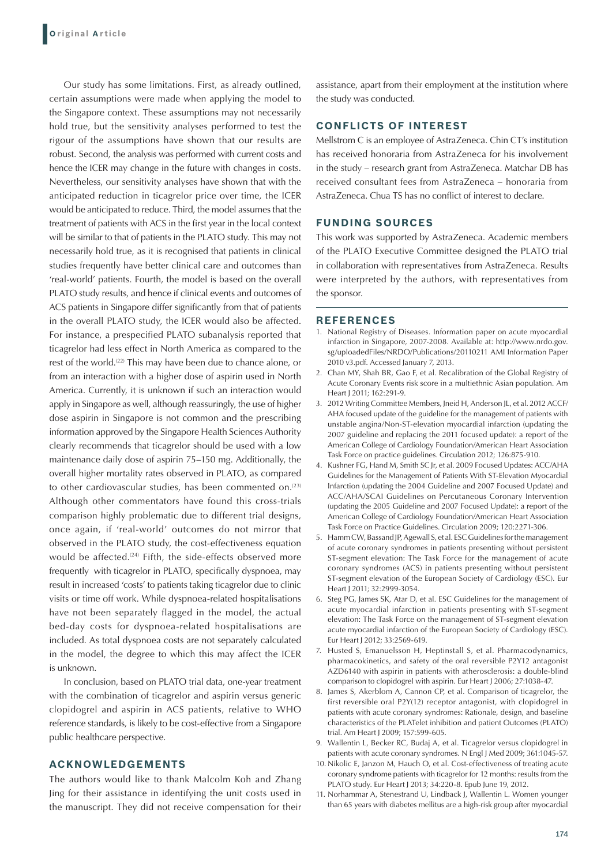Our study has some limitations. First, as already outlined, certain assumptions were made when applying the model to the Singapore context. These assumptions may not necessarily hold true, but the sensitivity analyses performed to test the rigour of the assumptions have shown that our results are robust. Second, the analysis was performed with current costs and hence the ICER may change in the future with changes in costs. Nevertheless, our sensitivity analyses have shown that with the anticipated reduction in ticagrelor price over time, the ICER would be anticipated to reduce. Third, the model assumes that the treatment of patients with ACS in the first year in the local context will be similar to that of patients in the PLATO study. This may not necessarily hold true, as it is recognised that patients in clinical studies frequently have better clinical care and outcomes than 'real-world' patients. Fourth, the model is based on the overall PLATO study results, and hence if clinical events and outcomes of ACS patients in Singapore differ significantly from that of patients in the overall PLATO study, the ICER would also be affected. For instance, a prespecified PLATO subanalysis reported that ticagrelor had less effect in North America as compared to the rest of the world.<sup>(22)</sup> This may have been due to chance alone, or from an interaction with a higher dose of aspirin used in North America. Currently, it is unknown if such an interaction would apply in Singapore as well, although reassuringly, the use of higher dose aspirin in Singapore is not common and the prescribing information approved by the Singapore Health Sciences Authority clearly recommends that ticagrelor should be used with a low maintenance daily dose of aspirin 75–150 mg. Additionally, the overall higher mortality rates observed in PLATO, as compared to other cardiovascular studies, has been commented on.<sup>(23)</sup> Although other commentators have found this cross-trials comparison highly problematic due to different trial designs, once again, if 'real-world' outcomes do not mirror that observed in the PLATO study, the cost-effectiveness equation would be affected.<sup>(24)</sup> Fifth, the side-effects observed more frequently with ticagrelor in PLATO, specifically dyspnoea, may result in increased 'costs' to patients taking ticagrelor due to clinic visits or time off work. While dyspnoea-related hospitalisations have not been separately flagged in the model, the actual bed-day costs for dyspnoea-related hospitalisations are included. As total dyspnoea costs are not separately calculated in the model, the degree to which this may affect the ICER is unknown.

In conclusion, based on PLATO trial data, one-year treatment with the combination of ticagrelor and aspirin versus generic clopidogrel and aspirin in ACS patients, relative to WHO reference standards, is likely to be cost-effective from a Singapore public healthcare perspective.

# **ACKNOWLEDGEMENTS**

The authors would like to thank Malcolm Koh and Zhang Jing for their assistance in identifying the unit costs used in the manuscript. They did not receive compensation for their assistance, apart from their employment at the institution where the study was conducted.

# **CONFLICTS OF INTEREST**

Mellstrom C is an employee of AstraZeneca. Chin CT's institution has received honoraria from AstraZeneca for his involvement in the study – research grant from AstraZeneca. Matchar DB has received consultant fees from AstraZeneca – honoraria from AstraZeneca. Chua TS has no conflict of interest to declare.

## **FUNDING SOURCES**

This work was supported by AstraZeneca. Academic members of the PLATO Executive Committee designed the PLATO trial in collaboration with representatives from AstraZeneca. Results were interpreted by the authors, with representatives from the sponsor.

### **REFERENCES**

- 1. National Registry of Diseases. Information paper on acute myocardial infarction in Singapore, 2007-2008. Available at: http://www.nrdo.gov. sg/uploadedFiles/NRDO/Publications/20110211 AMI Information Paper 2010 v3.pdf. Accessed January 7, 2013.
- 2. Chan MY, Shah BR, Gao F, et al. Recalibration of the Global Registry of Acute Coronary Events risk score in a multiethnic Asian population. Am Heart J 2011; 162:291-9.
- 3. 2012 Writing Committee Members, Jneid H, Anderson JL, et al. 2012 ACCF/ AHA focused update of the guideline for the management of patients with unstable angina/Non-ST-elevation myocardial infarction (updating the 2007 guideline and replacing the 2011 focused update): a report of the American College of Cardiology Foundation/American Heart Association Task Force on practice guidelines. Circulation 2012; 126:875-910.
- 4. Kushner FG, Hand M, Smith SC Jr, et al. 2009 Focused Updates: ACC/AHA Guidelines for the Management of Patients With ST-Elevation Myocardial Infarction (updating the 2004 Guideline and 2007 Focused Update) and ACC/AHA/SCAI Guidelines on Percutaneous Coronary Intervention (updating the 2005 Guideline and 2007 Focused Update): a report of the American College of Cardiology Foundation/American Heart Association Task Force on Practice Guidelines. Circulation 2009; 120:2271-306.
- 5. Hamm CW, Bassand JP, Agewall S, et al. ESC Guidelines for the management of acute coronary syndromes in patients presenting without persistent ST-segment elevation: The Task Force for the management of acute coronary syndromes (ACS) in patients presenting without persistent ST-segment elevation of the European Society of Cardiology (ESC). Eur Heart J 2011; 32:2999-3054.
- 6. Steg PG, James SK, Atar D, et al. ESC Guidelines for the management of acute myocardial infarction in patients presenting with ST-segment elevation: The Task Force on the management of ST-segment elevation acute myocardial infarction of the European Society of Cardiology (ESC). Eur Heart J 2012; 33:2569-619.
- 7. Husted S, Emanuelsson H, Heptinstall S, et al. Pharmacodynamics, pharmacokinetics, and safety of the oral reversible P2Y12 antagonist AZD6140 with aspirin in patients with atherosclerosis: a double-blind comparison to clopidogrel with aspirin. Eur Heart J 2006; 27:1038-47.
- 8. James S, Akerblom A, Cannon CP, et al. Comparison of ticagrelor, the first reversible oral P2Y(12) receptor antagonist, with clopidogrel in patients with acute coronary syndromes: Rationale, design, and baseline characteristics of the PLATelet inhibition and patient Outcomes (PLATO) trial. Am Heart J 2009; 157:599-605.
- 9. Wallentin L, Becker RC, Budaj A, et al. Ticagrelor versus clopidogrel in patients with acute coronary syndromes. N Engl J Med 2009; 361:1045-57.
- 10. Nikolic E, Janzon M, Hauch O, et al. Cost-effectiveness of treating acute coronary syndrome patients with ticagrelor for 12 months: results from the PLATO study. Eur Heart J 2013; 34:220-8. Epub June 19, 2012.
- 11. Norhammar A, Stenestrand U, Lindback J, Wallentin L. Women younger than 65 years with diabetes mellitus are a high-risk group after myocardial